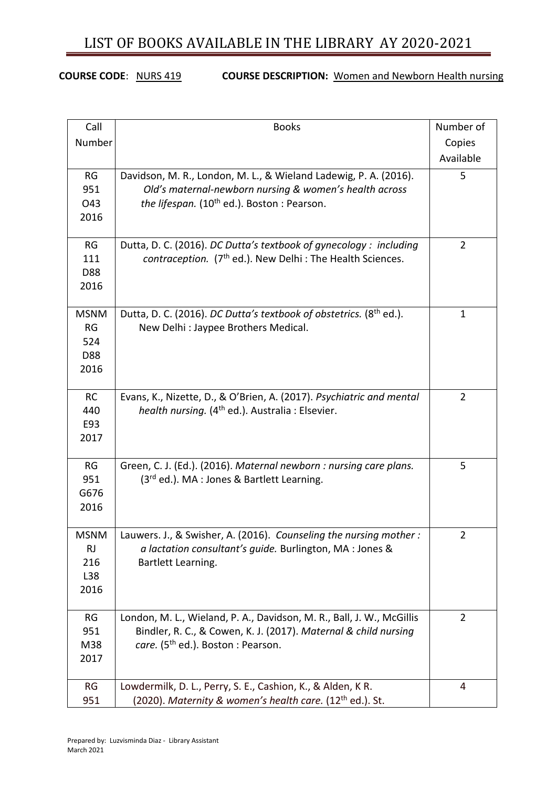#### **COURSE CODE**: NURS 419 **COURSE DESCRIPTION:** Women and Newborn Health nursing

| Call        | <b>Books</b>                                                           | Number of      |
|-------------|------------------------------------------------------------------------|----------------|
| Number      |                                                                        | Copies         |
|             |                                                                        | Available      |
| RG          | Davidson, M. R., London, M. L., & Wieland Ladewig, P. A. (2016).       | 5              |
| 951         | Old's maternal-newborn nursing & women's health across                 |                |
| O43         | the lifespan. (10 <sup>th</sup> ed.). Boston: Pearson.                 |                |
| 2016        |                                                                        |                |
|             |                                                                        |                |
| <b>RG</b>   | Dutta, D. C. (2016). DC Dutta's textbook of gynecology : including     | $\overline{2}$ |
| 111         | contraception. (7 <sup>th</sup> ed.). New Delhi : The Health Sciences. |                |
| D88         |                                                                        |                |
| 2016        |                                                                        |                |
|             |                                                                        |                |
| <b>MSNM</b> | Dutta, D. C. (2016). DC Dutta's textbook of obstetrics. (8th ed.).     | $\mathbf{1}$   |
| <b>RG</b>   | New Delhi : Jaypee Brothers Medical.                                   |                |
| 524         |                                                                        |                |
| D88         |                                                                        |                |
| 2016        |                                                                        |                |
| <b>RC</b>   | Evans, K., Nizette, D., & O'Brien, A. (2017). Psychiatric and mental   | $\overline{2}$ |
| 440         | health nursing. (4 <sup>th</sup> ed.). Australia : Elsevier.           |                |
| E93         |                                                                        |                |
| 2017        |                                                                        |                |
|             |                                                                        |                |
| RG          | Green, C. J. (Ed.). (2016). Maternal newborn : nursing care plans.     | 5              |
| 951         | (3rd ed.). MA : Jones & Bartlett Learning.                             |                |
| G676        |                                                                        |                |
| 2016        |                                                                        |                |
|             |                                                                        |                |
| <b>MSNM</b> | Lauwers. J., & Swisher, A. (2016). Counseling the nursing mother:      | 2              |
| RJ          | a lactation consultant's quide. Burlington, MA : Jones &               |                |
| 216         | Bartlett Learning.                                                     |                |
| L38         |                                                                        |                |
| 2016        |                                                                        |                |
| RG          | London, M. L., Wieland, P. A., Davidson, M. R., Ball, J. W., McGillis  | $\overline{2}$ |
| 951         | Bindler, R. C., & Cowen, K. J. (2017). Maternal & child nursing        |                |
| M38         | care. (5 <sup>th</sup> ed.). Boston : Pearson.                         |                |
| 2017        |                                                                        |                |
|             |                                                                        |                |
| <b>RG</b>   | Lowdermilk, D. L., Perry, S. E., Cashion, K., & Alden, K R.            | 4              |
| 951         | (2020). Maternity & women's health care. $(12th$ ed.). St.             |                |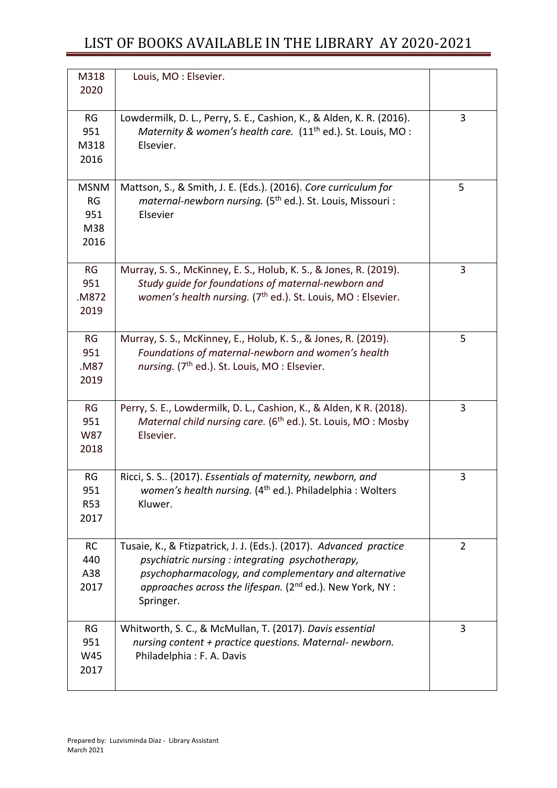| M318<br>2020                            | Louis, MO: Elsevier.                                                                                                                                                                                                                                                 |                |
|-----------------------------------------|----------------------------------------------------------------------------------------------------------------------------------------------------------------------------------------------------------------------------------------------------------------------|----------------|
| RG<br>951<br>M318<br>2016               | Lowdermilk, D. L., Perry, S. E., Cashion, K., & Alden, K. R. (2016).<br>Maternity & women's health care. (11 <sup>th</sup> ed.). St. Louis, MO:<br>Elsevier.                                                                                                         | 3              |
| <b>MSNM</b><br>RG<br>951<br>M38<br>2016 | Mattson, S., & Smith, J. E. (Eds.). (2016). Core curriculum for<br>maternal-newborn nursing. (5 <sup>th</sup> ed.). St. Louis, Missouri :<br>Elsevier                                                                                                                | 5              |
| RG<br>951<br>.M872<br>2019              | Murray, S. S., McKinney, E. S., Holub, K. S., & Jones, R. (2019).<br>Study guide for foundations of maternal-newborn and<br>women's health nursing. (7 <sup>th</sup> ed.). St. Louis, MO: Elsevier.                                                                  | 3              |
| <b>RG</b><br>951<br>.M87<br>2019        | Murray, S. S., McKinney, E., Holub, K. S., & Jones, R. (2019).<br>Foundations of maternal-newborn and women's health<br>nursing. (7 <sup>th</sup> ed.). St. Louis, MO: Elsevier.                                                                                     | 5              |
| RG<br>951<br>W87<br>2018                | Perry, S. E., Lowdermilk, D. L., Cashion, K., & Alden, K R. (2018).<br>Maternal child nursing care. (6 <sup>th</sup> ed.). St. Louis, MO: Mosby<br>Elsevier.                                                                                                         | 3              |
| RG<br>951<br><b>R53</b><br>2017         | Ricci, S. S (2017). Essentials of maternity, newborn, and<br>women's health nursing. (4 <sup>th</sup> ed.). Philadelphia: Wolters<br>Kluwer.                                                                                                                         | 3              |
| RC<br>440<br>A38<br>2017                | Tusaie, K., & Ftizpatrick, J. J. (Eds.). (2017). Advanced practice<br>psychiatric nursing: integrating psychotherapy,<br>psychopharmacology, and complementary and alternative<br>approaches across the lifespan. (2 <sup>nd</sup> ed.). New York, NY :<br>Springer. | $\overline{2}$ |
| RG<br>951<br>W45<br>2017                | Whitworth, S. C., & McMullan, T. (2017). Davis essential<br>nursing content + practice questions. Maternal- newborn.<br>Philadelphia: F. A. Davis                                                                                                                    | 3              |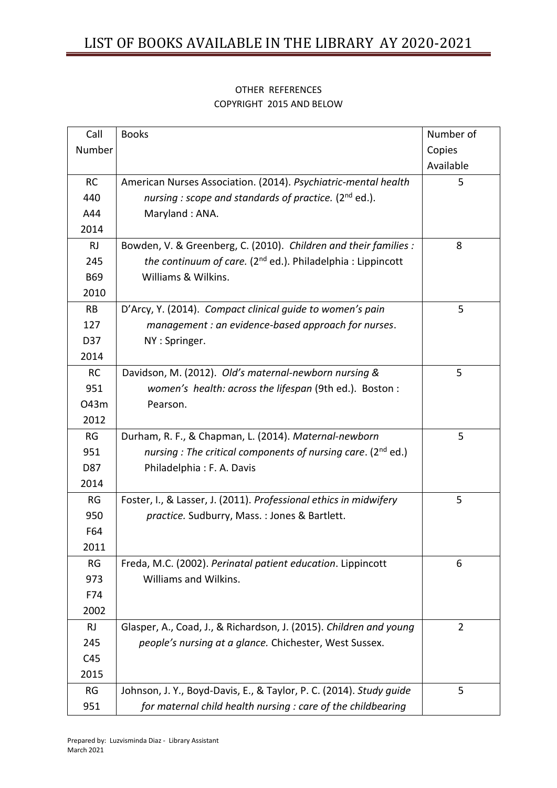| Call       | <b>Books</b>                                                             | Number of      |
|------------|--------------------------------------------------------------------------|----------------|
| Number     |                                                                          | Copies         |
|            |                                                                          | Available      |
| <b>RC</b>  | American Nurses Association. (2014). Psychiatric-mental health           | 5              |
| 440        | nursing: scope and standards of practice. (2 <sup>nd</sup> ed.).         |                |
| A44        | Maryland: ANA.                                                           |                |
| 2014       |                                                                          |                |
| <b>RJ</b>  | Bowden, V. & Greenberg, C. (2010). Children and their families :         | 8              |
| 245        | the continuum of care. (2 <sup>nd</sup> ed.). Philadelphia : Lippincott  |                |
| <b>B69</b> | Williams & Wilkins.                                                      |                |
| 2010       |                                                                          |                |
| <b>RB</b>  | D'Arcy, Y. (2014). Compact clinical guide to women's pain                | 5              |
| 127        | management : an evidence-based approach for nurses.                      |                |
| D37        | NY: Springer.                                                            |                |
| 2014       |                                                                          |                |
| <b>RC</b>  | Davidson, M. (2012). Old's maternal-newborn nursing &                    | 5              |
| 951        | women's health: across the lifespan (9th ed.). Boston:                   |                |
| 043m       | Pearson.                                                                 |                |
| 2012       |                                                                          |                |
| RG         | Durham, R. F., & Chapman, L. (2014). Maternal-newborn                    | 5              |
| 951        | nursing : The critical components of nursing care. (2 <sup>nd</sup> ed.) |                |
| D87        | Philadelphia: F. A. Davis                                                |                |
| 2014       |                                                                          |                |
| RG         | Foster, I., & Lasser, J. (2011). Professional ethics in midwifery        | 5              |
| 950        | practice. Sudburry, Mass. : Jones & Bartlett.                            |                |
| F64        |                                                                          |                |
| 2011       |                                                                          |                |
| <b>RG</b>  | Freda, M.C. (2002). Perinatal patient education. Lippincott              | 6              |
| 973        | Williams and Wilkins.                                                    |                |
| F74        |                                                                          |                |
| 2002       |                                                                          |                |
| RJ         | Glasper, A., Coad, J., & Richardson, J. (2015). Children and young       | $\overline{2}$ |
| 245        | people's nursing at a glance. Chichester, West Sussex.                   |                |
| C45        |                                                                          |                |
| 2015       |                                                                          |                |
| <b>RG</b>  | Johnson, J. Y., Boyd-Davis, E., & Taylor, P. C. (2014). Study guide      | 5              |
| 951        | for maternal child health nursing : care of the childbearing             |                |

#### OTHER REFERENCES COPYRIGHT 2015 AND BELOW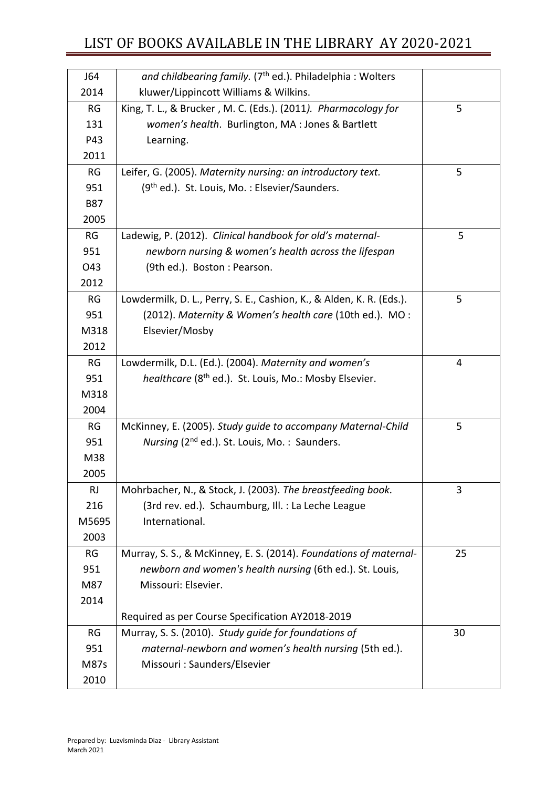| J64        | and childbearing family. (7 <sup>th</sup> ed.). Philadelphia: Wolters    |    |
|------------|--------------------------------------------------------------------------|----|
| 2014       | kluwer/Lippincott Williams & Wilkins.                                    |    |
| RG         | King, T. L., & Brucker, M. C. (Eds.). (2011). Pharmacology for           | 5  |
| 131        | women's health. Burlington, MA : Jones & Bartlett                        |    |
| P43        | Learning.                                                                |    |
| 2011       |                                                                          |    |
| RG         | Leifer, G. (2005). Maternity nursing: an introductory text.              | 5  |
| 951        | (9 <sup>th</sup> ed.). St. Louis, Mo.: Elsevier/Saunders.                |    |
| <b>B87</b> |                                                                          |    |
| 2005       |                                                                          |    |
| RG         | Ladewig, P. (2012). Clinical handbook for old's maternal-                | 5  |
| 951        | newborn nursing & women's health across the lifespan                     |    |
| O43        | (9th ed.). Boston: Pearson.                                              |    |
| 2012       |                                                                          |    |
| RG         | Lowdermilk, D. L., Perry, S. E., Cashion, K., & Alden, K. R. (Eds.).     | 5  |
| 951        | (2012). Maternity & Women's health care (10th ed.). MO:                  |    |
| M318       | Elsevier/Mosby                                                           |    |
| 2012       |                                                                          |    |
| RG         | Lowdermilk, D.L. (Ed.). (2004). Maternity and women's                    | 4  |
| 951        | <i>healthcare</i> (8 <sup>th</sup> ed.). St. Louis, Mo.: Mosby Elsevier. |    |
| M318       |                                                                          |    |
| 2004       |                                                                          |    |
| RG         | McKinney, E. (2005). Study guide to accompany Maternal-Child             | 5  |
| 951        | Nursing (2 <sup>nd</sup> ed.). St. Louis, Mo.: Saunders.                 |    |
| M38        |                                                                          |    |
| 2005       |                                                                          |    |
| <b>RJ</b>  | Mohrbacher, N., & Stock, J. (2003). The breastfeeding book.              | 3  |
| 216        | (3rd rev. ed.). Schaumburg, Ill. : La Leche League                       |    |
| M5695      | International.                                                           |    |
| 2003       |                                                                          |    |
| RG         | Murray, S. S., & McKinney, E. S. (2014). Foundations of maternal-        | 25 |
| 951        | newborn and women's health nursing (6th ed.). St. Louis,                 |    |
| M87        | Missouri: Elsevier.                                                      |    |
| 2014       |                                                                          |    |
|            | Required as per Course Specification AY2018-2019                         |    |
| <b>RG</b>  | Murray, S. S. (2010). Study guide for foundations of                     | 30 |
| 951        | maternal-newborn and women's health nursing (5th ed.).                   |    |
| M87s       | Missouri: Saunders/Elsevier                                              |    |
| 2010       |                                                                          |    |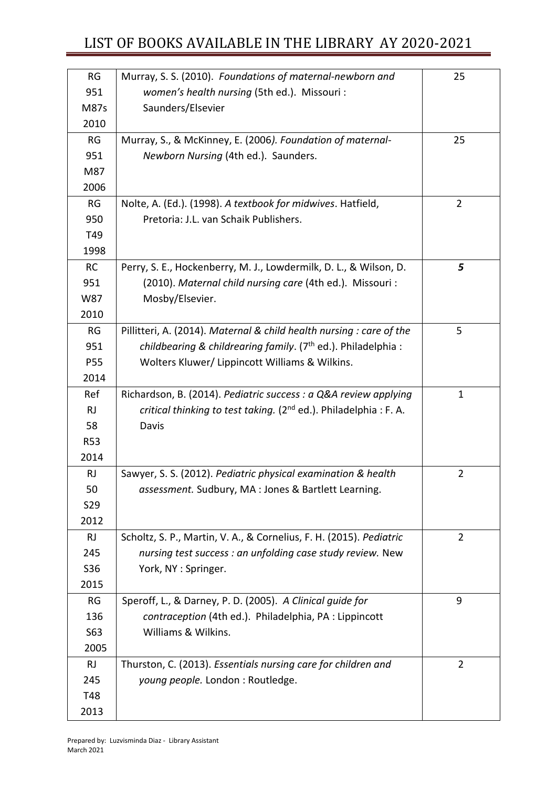| <b>RG</b>  | Murray, S. S. (2010). Foundations of maternal-newborn and                    | 25             |
|------------|------------------------------------------------------------------------------|----------------|
| 951        | women's health nursing (5th ed.). Missouri :                                 |                |
| M87s       | Saunders/Elsevier                                                            |                |
| 2010       |                                                                              |                |
| RG         | Murray, S., & McKinney, E. (2006). Foundation of maternal-                   | 25             |
| 951        | Newborn Nursing (4th ed.). Saunders.                                         |                |
| M87        |                                                                              |                |
| 2006       |                                                                              |                |
| <b>RG</b>  | Nolte, A. (Ed.). (1998). A textbook for midwives. Hatfield,                  | $\overline{2}$ |
| 950        | Pretoria: J.L. van Schaik Publishers.                                        |                |
| T49        |                                                                              |                |
| 1998       |                                                                              |                |
| <b>RC</b>  | Perry, S. E., Hockenberry, M. J., Lowdermilk, D. L., & Wilson, D.            | 5              |
| 951        | (2010). Maternal child nursing care (4th ed.). Missouri:                     |                |
| W87        | Mosby/Elsevier.                                                              |                |
| 2010       |                                                                              |                |
| RG         | Pillitteri, A. (2014). Maternal & child health nursing : care of the         | 5              |
| 951        | childbearing & childrearing family. (7 <sup>th</sup> ed.). Philadelphia :    |                |
| P55        | Wolters Kluwer/ Lippincott Williams & Wilkins.                               |                |
| 2014       |                                                                              |                |
| Ref        | Richardson, B. (2014). Pediatric success : a Q&A review applying             | $\mathbf 1$    |
| RJ         | critical thinking to test taking. (2 <sup>nd</sup> ed.). Philadelphia: F. A. |                |
| 58         | Davis                                                                        |                |
| <b>R53</b> |                                                                              |                |
| 2014       |                                                                              |                |
| <b>RJ</b>  | Sawyer, S. S. (2012). Pediatric physical examination & health                | $\overline{2}$ |
| 50         | assessment. Sudbury, MA : Jones & Bartlett Learning.                         |                |
| <b>S29</b> |                                                                              |                |
| 2012       |                                                                              |                |
| RJ         | Scholtz, S. P., Martin, V. A., & Cornelius, F. H. (2015). Pediatric          | $\overline{2}$ |
| 245        | nursing test success : an unfolding case study review. New                   |                |
| S36        | York, NY: Springer.                                                          |                |
| 2015       |                                                                              |                |
| <b>RG</b>  | Speroff, L., & Darney, P. D. (2005). A Clinical quide for                    | 9              |
| 136        | contraception (4th ed.). Philadelphia, PA : Lippincott                       |                |
| S63        | Williams & Wilkins.                                                          |                |
| 2005       |                                                                              |                |
| RJ         | Thurston, C. (2013). Essentials nursing care for children and                | $\overline{2}$ |
| 245        | young people. London : Routledge.                                            |                |
| T48        |                                                                              |                |
| 2013       |                                                                              |                |